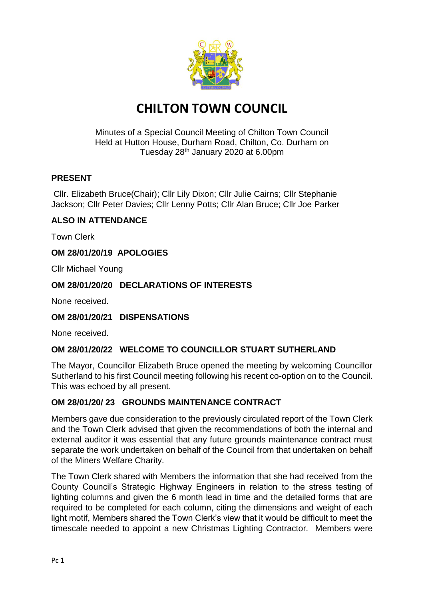

# **CHILTON TOWN COUNCIL**

Minutes of a Special Council Meeting of Chilton Town Council Held at Hutton House, Durham Road, Chilton, Co. Durham on Tuesday 28th January 2020 at 6.00pm

## **PRESENT**

Cllr. Elizabeth Bruce(Chair); Cllr Lily Dixon; Cllr Julie Cairns; Cllr Stephanie Jackson; Cllr Peter Davies; Cllr Lenny Potts; Cllr Alan Bruce; Cllr Joe Parker

## **ALSO IN ATTENDANCE**

Town Clerk

## **OM 28/01/20/19 APOLOGIES**

Cllr Michael Young

#### **OM 28/01/20/20 DECLARATIONS OF INTERESTS**

None received.

#### **OM 28/01/20/21 DISPENSATIONS**

None received.

#### **OM 28/01/20/22 WELCOME TO COUNCILLOR STUART SUTHERLAND**

The Mayor, Councillor Elizabeth Bruce opened the meeting by welcoming Councillor Sutherland to his first Council meeting following his recent co-option on to the Council. This was echoed by all present.

#### **OM 28/01/20/ 23 GROUNDS MAINTENANCE CONTRACT**

Members gave due consideration to the previously circulated report of the Town Clerk and the Town Clerk advised that given the recommendations of both the internal and external auditor it was essential that any future grounds maintenance contract must separate the work undertaken on behalf of the Council from that undertaken on behalf of the Miners Welfare Charity.

The Town Clerk shared with Members the information that she had received from the County Council's Strategic Highway Engineers in relation to the stress testing of lighting columns and given the 6 month lead in time and the detailed forms that are required to be completed for each column, citing the dimensions and weight of each light motif, Members shared the Town Clerk's view that it would be difficult to meet the timescale needed to appoint a new Christmas Lighting Contractor. Members were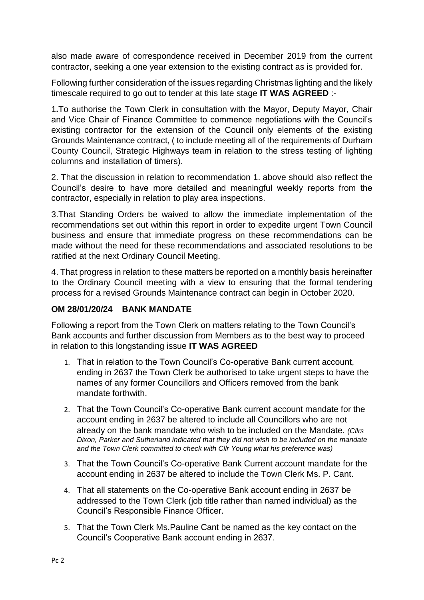also made aware of correspondence received in December 2019 from the current contractor, seeking a one year extension to the existing contract as is provided for.

Following further consideration of the issues regarding Christmas lighting and the likely timescale required to go out to tender at this late stage **IT WAS AGREED** :-

1**.**To authorise the Town Clerk in consultation with the Mayor, Deputy Mayor, Chair and Vice Chair of Finance Committee to commence negotiations with the Council's existing contractor for the extension of the Council only elements of the existing Grounds Maintenance contract, ( to include meeting all of the requirements of Durham County Council, Strategic Highways team in relation to the stress testing of lighting columns and installation of timers).

2. That the discussion in relation to recommendation 1. above should also reflect the Council's desire to have more detailed and meaningful weekly reports from the contractor, especially in relation to play area inspections.

3.That Standing Orders be waived to allow the immediate implementation of the recommendations set out within this report in order to expedite urgent Town Council business and ensure that immediate progress on these recommendations can be made without the need for these recommendations and associated resolutions to be ratified at the next Ordinary Council Meeting.

4. That progress in relation to these matters be reported on a monthly basis hereinafter to the Ordinary Council meeting with a view to ensuring that the formal tendering process for a revised Grounds Maintenance contract can begin in October 2020.

## **OM 28/01/20/24 BANK MANDATE**

Following a report from the Town Clerk on matters relating to the Town Council's Bank accounts and further discussion from Members as to the best way to proceed in relation to this longstanding issue **IT WAS AGREED**

- 1. That in relation to the Town Council's Co-operative Bank current account, ending in 2637 the Town Clerk be authorised to take urgent steps to have the names of any former Councillors and Officers removed from the bank mandate forthwith.
- 2. That the Town Council's Co-operative Bank current account mandate for the account ending in 2637 be altered to include all Councillors who are not already on the bank mandate who wish to be included on the Mandate. *(Cllrs Dixon, Parker and Sutherland indicated that they did not wish to be included on the mandate and the Town Clerk committed to check with Cllr Young what his preference was)*
- 3. That the Town Council's Co-operative Bank Current account mandate for the account ending in 2637 be altered to include the Town Clerk Ms. P. Cant.
- 4. That all statements on the Co-operative Bank account ending in 2637 be addressed to the Town Clerk (job title rather than named individual) as the Council's Responsible Finance Officer.
- 5. That the Town Clerk Ms.Pauline Cant be named as the key contact on the Council's Cooperative Bank account ending in 2637.